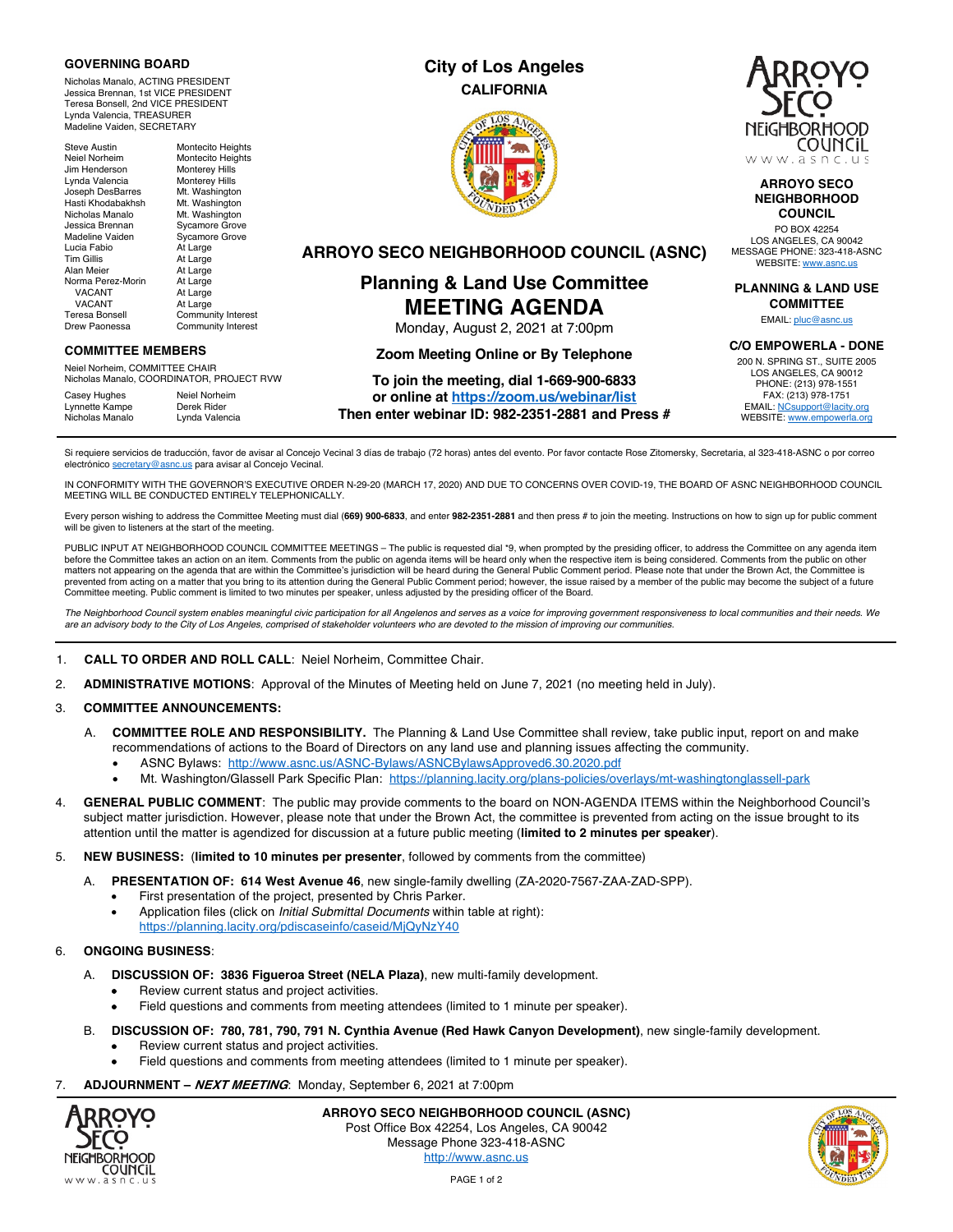### **GOVERNING BOARD**

Nicholas Manalo, ACTING PRESIDENT Jessica Brennan, 1st VICE PRESIDENT Teresa Bonsell, 2nd VICE PRESIDENT Lynda Valencia, TREASURER Madeline Vaiden, SECRETARY

Steve Austin Montecito Heights Neiel Norheim Montecito Heights<br>
Jim Henderson Monterev Hills Jim Henderson Monterey Hills<br>
Lynda Valencia Monterey Hills Lynda Valencia<br>Joseph DesBarres Joseph DesBarres Mt. Washington Mt. Washington<br>Mt. Washington Nicholas Manalo<br>Jessica Brennan Jessica Brennan Sycamore Grove Sycamore Grove<br>At Large Lucia Fabio<br>Tim Gillis Tim Gillis At Large<br>Alan Meier At Large At Large<br>At Large Norma Perez-Morin VACANT At Large<br>VACANT At Large VACANT At Large<br>Teresa Bonsell Commun Community Interest Drew Paonessa Community Interest

### **COMMITTEE MEMBERS**

Neiel Norheim, COMMITTEE CHAIR Nicholas Manalo, COORDINATOR, PROJECT RVW

Casey Hughes Neiel Norheim<br>
Lynnette Kampe Derek Rider Lynnette Kampe<br>Nicholas Manalo Lynda Valencia

## **City of Los Angeles CALIFORNIA**





### **ARROYO SECO NEIGHBORHOOD COUNCIL**

PO BOX 42254 LOS ANGELES, CA 90042 MESSAGE PHONE: 323-418-ASNC WEBSITE: www.asnc.us

**PLANNING & LAND USE COMMITTEE**

EMAIL: pluc@asnc.us

#### **C/O EMPOWERLA - DONE**

200 N. SPRING ST., SUITE 2005 LOS ANGELES, CA 90012 PHONE: (213) 978-1551 FAX: (213) 978-1751 EMAIL: NCsupport@lacity.org WEBSITE: www.empowerla.org

**ARROYO SECO NEIGHBORHOOD COUNCIL (ASNC)**

## **Planning & Land Use Committee MEETING AGENDA** Monday, August 2, 2021 at 7:00pm

## **Zoom Meeting Online or By Telephone**

# **To join the meeting, dial 1-669-900-6833**

**or online at https://zoom.us/webinar/list Then enter webinar ID: 982-2351-2881 and Press #**

Si requiere servicios de traducción, favor de avisar al Concejo Vecinal 3 días de trabajo (72 horas) antes del evento. Por favor contacte Rose Zitomersky, Secretaria, al 323-418-ASNC o por correo electrónico secretary@asnc.us para avisar al Concejo Vecinal.

IN CONFORMITY WITH THE GOVERNOR'S EXECUTIVE ORDER N-29-20 (MARCH 17, 2020) AND DUE TO CONCERNS OVER COVID-19, THE BOARD OF ASNC NEIGHBORHOOD COUNCIL MEETING WILL BE CONDUCTED ENTIRELY TELEPHONICALLY.

Every person wishing to address the Committee Meeting must dial (**669) 900-6833**, and enter **982-2351-2881** and then press # to join the meeting. Instructions on how to sign up for public comment will be given to listeners at the start of the meeting.

PUBLIC INPUT AT NEIGHBORHOOD COUNCIL COMMITTEE MEETINGS – The public is requested dial \*9, when prompted by the presiding officer, to address the Committee on any agenda item before the Committee takes an action on an item. Comments from the public on agenda items will be heard only when the respective item is being considered. Comments from the public on other matters not appearing on the agenda that are within the Committee's jurisdiction will be heard during the General Public Comment period. Please note that under the Brown Act, the Committee is prevented from acting on a matter that you bring to its attention during the General Public Comment period; however, the issue raised by a member of the public may become the subject of a future Committee meeting. Public comment is limited to two minutes per speaker, unless adjusted by the presiding officer of the Board.

*The Neighborhood Council system enables meaningful civic participation for all Angelenos and serves as a voice for improving government responsiveness to local communities and their needs. We are an advisory body to the City of Los Angeles, comprised of stakeholder volunteers who are devoted to the mission of improving our communities.*

### 1. **CALL TO ORDER AND ROLL CALL**: Neiel Norheim, Committee Chair.

2. **ADMINISTRATIVE MOTIONS**: Approval of the Minutes of Meeting held on June 7, 2021 (no meeting held in July).

### 3. **COMMITTEE ANNOUNCEMENTS:**

- A. **COMMITTEE ROLE AND RESPONSIBILITY.** The Planning & Land Use Committee shall review, take public input, report on and make recommendations of actions to the Board of Directors on any land use and planning issues affecting the community.
	- ASNC Bylaws: http://www.asnc.us/ASNC-Bylaws/ASNCBylawsApproved6.30.2020.pdf
	- Mt. Washington/Glassell Park Specific Plan: https://planning.lacity.org/plans-policies/overlays/mt-washingtonglassell-park
- 4. **GENERAL PUBLIC COMMENT**: The public may provide comments to the board on NON-AGENDA ITEMS within the Neighborhood Council's subject matter jurisdiction. However, please note that under the Brown Act, the committee is prevented from acting on the issue brought to its attention until the matter is agendized for discussion at a future public meeting (**limited to 2 minutes per speaker**).
- 5. **NEW BUSINESS:** (**limited to 10 minutes per presenter**, followed by comments from the committee)
	- A. **PRESENTATION OF: 614 West Avenue 46**, new single-family dwelling (ZA-2020-7567-ZAA-ZAD-SPP).
		- First presentation of the project, presented by Chris Parker.
		- Application files (click on *Initial Submittal Documents* within table at right): https://planning.lacity.org/pdiscaseinfo/caseid/MjQyNzY40

### 6. **ONGOING BUSINESS**:

- A. **DISCUSSION OF: 3836 Figueroa Street (NELA Plaza)**, new multi-family development.
	- Review current status and project activities.
	- Field questions and comments from meeting attendees (limited to 1 minute per speaker).
- B. **DISCUSSION OF: 780, 781, 790, 791 N. Cynthia Avenue (Red Hawk Canyon Development)**, new single-family development.
	- Review current status and project activities.
	- Field questions and comments from meeting attendees (limited to 1 minute per speaker).
- 7. **ADJOURNMENT – NEXT MEETING**: Monday, September 6, 2021 at 7:00pm



**ARROYO SECO NEIGHBORHOOD COUNCIL (ASNC)** Post Office Box 42254, Los Angeles, CA 90042 Message Phone 323-418-ASNC http://www.asnc.us